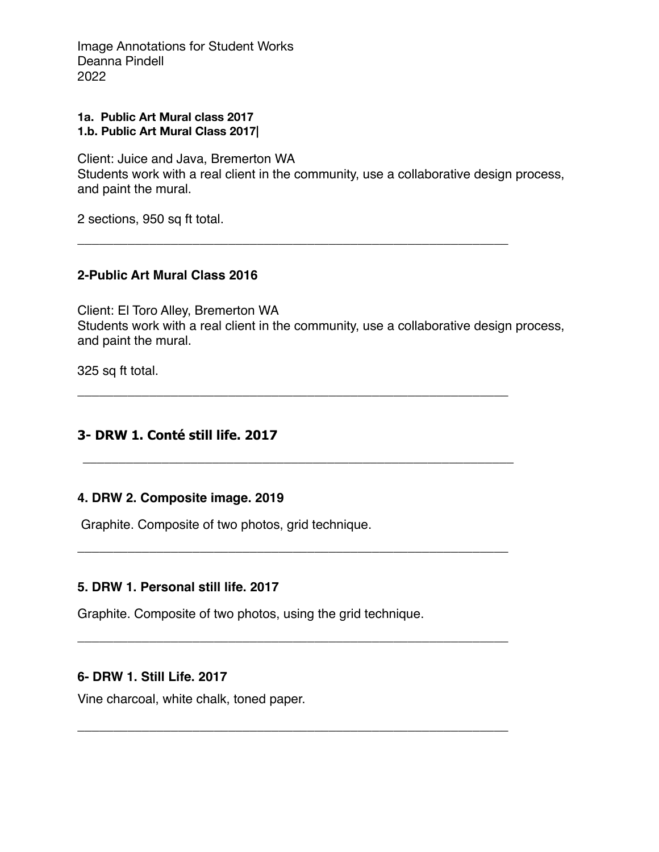Image Annotations for Student Works Deanna Pindell 2022

#### **1a. Public Art Mural class 2017 1.b. Public Art Mural Class 2017|**

Client: Juice and Java, Bremerton WA Students work with a real client in the community, use a collaborative design process, and paint the mural.

\_\_\_\_\_\_\_\_\_\_\_\_\_\_\_\_\_\_\_\_\_\_\_\_\_\_\_\_\_\_\_\_\_\_\_\_\_\_\_\_\_\_\_\_\_\_\_\_\_\_\_\_\_\_\_\_\_\_\_\_

\_\_\_\_\_\_\_\_\_\_\_\_\_\_\_\_\_\_\_\_\_\_\_\_\_\_\_\_\_\_\_\_\_\_\_\_\_\_\_\_\_\_\_\_\_\_\_\_\_\_\_\_\_\_\_\_\_\_\_\_

\_\_\_\_\_\_\_\_\_\_\_\_\_\_\_\_\_\_\_\_\_\_\_\_\_\_\_\_\_\_\_\_\_\_\_\_\_\_\_\_\_\_\_\_\_\_\_\_\_\_\_\_\_\_\_\_\_\_\_\_

\_\_\_\_\_\_\_\_\_\_\_\_\_\_\_\_\_\_\_\_\_\_\_\_\_\_\_\_\_\_\_\_\_\_\_\_\_\_\_\_\_\_\_\_\_\_\_\_\_\_\_\_\_\_\_\_\_\_\_\_

\_\_\_\_\_\_\_\_\_\_\_\_\_\_\_\_\_\_\_\_\_\_\_\_\_\_\_\_\_\_\_\_\_\_\_\_\_\_\_\_\_\_\_\_\_\_\_\_\_\_\_\_\_\_\_\_\_\_\_\_

\_\_\_\_\_\_\_\_\_\_\_\_\_\_\_\_\_\_\_\_\_\_\_\_\_\_\_\_\_\_\_\_\_\_\_\_\_\_\_\_\_\_\_\_\_\_\_\_\_\_\_\_\_\_\_\_\_\_\_\_

2 sections, 950 sq ft total.

## **2-Public Art Mural Class 2016**

Client: El Toro Alley, Bremerton WA Students work with a real client in the community, use a collaborative design process, and paint the mural.

325 sq ft total.

# **3- DRW 1. Conté still life. 2017**

## **4. DRW 2. Composite image. 2019**

Graphite. Composite of two photos, grid technique.

## **5. DRW 1. Personal still life. 2017**

Graphite. Composite of two photos, using the grid technique.

## **6- DRW 1. Still Life. 2017**

Vine charcoal, white chalk, toned paper.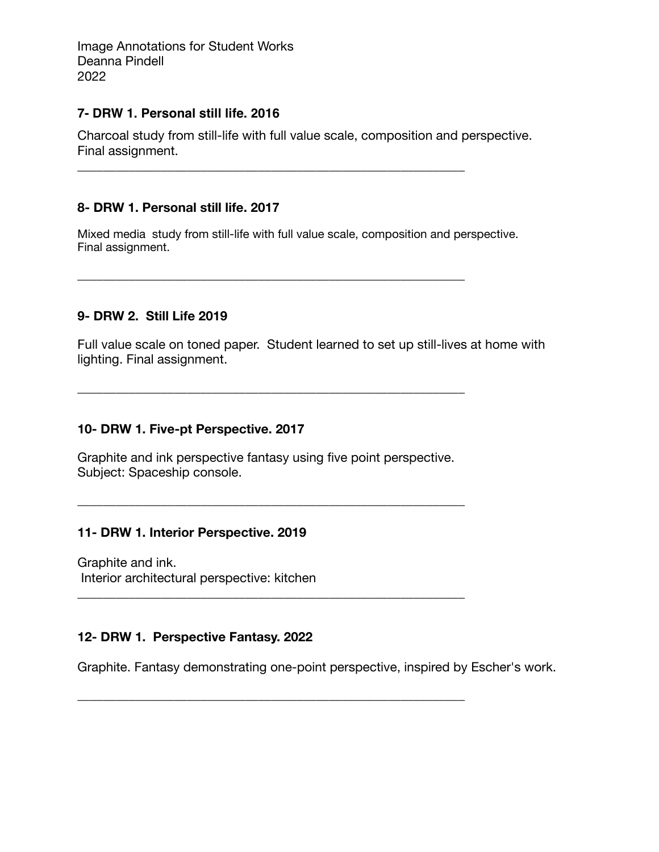Image Annotations for Student Works Deanna Pindell 2022

### **7- DRW 1. Personal still life. 2016**

Charcoal study from still-life with full value scale, composition and perspective. Final assignment.

\_\_\_\_\_\_\_\_\_\_\_\_\_\_\_\_\_\_\_\_\_\_\_\_\_\_\_\_\_\_\_\_\_\_\_\_\_\_\_\_\_\_\_\_\_\_\_\_\_\_\_\_\_\_\_\_\_\_\_\_

\_\_\_\_\_\_\_\_\_\_\_\_\_\_\_\_\_\_\_\_\_\_\_\_\_\_\_\_\_\_\_\_\_\_\_\_\_\_\_\_\_\_\_\_\_\_\_\_\_\_\_\_\_\_\_\_\_\_\_\_

## **8- DRW 1. Personal still life. 2017**

Mixed media study from still-life with full value scale, composition and perspective. Final assignment.

## **9- DRW 2. Still Life 2019**

Full value scale on toned paper. Student learned to set up still-lives at home with lighting. Final assignment.

### **10- DRW 1. Five-pt Perspective. 2017**

Graphite and ink perspective fantasy using five point perspective. Subject: Spaceship console.

\_\_\_\_\_\_\_\_\_\_\_\_\_\_\_\_\_\_\_\_\_\_\_\_\_\_\_\_\_\_\_\_\_\_\_\_\_\_\_\_\_\_\_\_\_\_\_\_\_\_\_\_\_\_\_\_\_\_\_\_

\_\_\_\_\_\_\_\_\_\_\_\_\_\_\_\_\_\_\_\_\_\_\_\_\_\_\_\_\_\_\_\_\_\_\_\_\_\_\_\_\_\_\_\_\_\_\_\_\_\_\_\_\_\_\_\_\_\_\_\_

\_\_\_\_\_\_\_\_\_\_\_\_\_\_\_\_\_\_\_\_\_\_\_\_\_\_\_\_\_\_\_\_\_\_\_\_\_\_\_\_\_\_\_\_\_\_\_\_\_\_\_\_\_\_\_\_\_\_\_\_

\_\_\_\_\_\_\_\_\_\_\_\_\_\_\_\_\_\_\_\_\_\_\_\_\_\_\_\_\_\_\_\_\_\_\_\_\_\_\_\_\_\_\_\_\_\_\_\_\_\_\_\_\_\_\_\_\_\_\_\_

### **11- DRW 1. Interior Perspective. 2019**

Graphite and ink. Interior architectural perspective: kitchen

## **12- DRW 1. Perspective Fantasy. 2022**

Graphite. Fantasy demonstrating one-point perspective, inspired by Escher's work.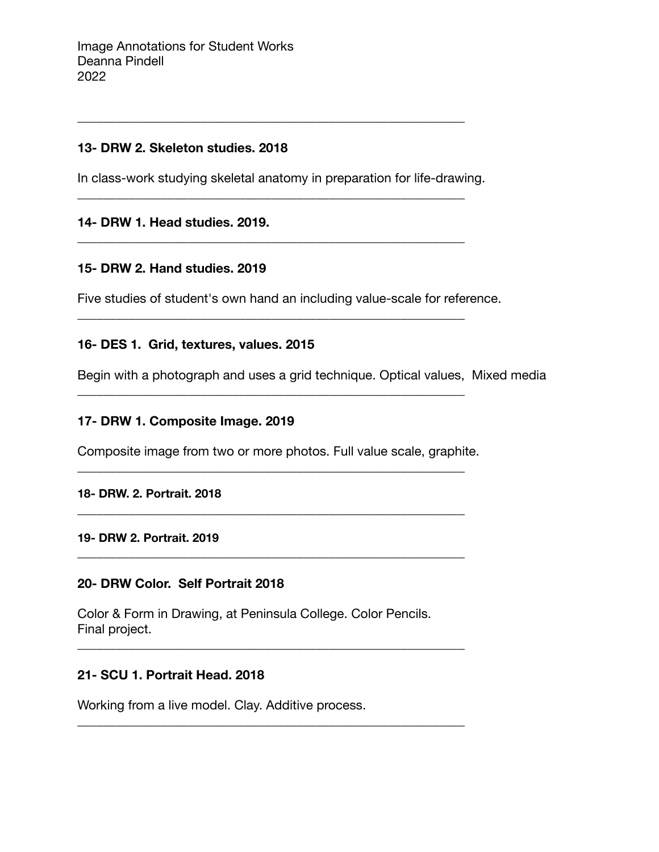## **13- DRW 2. Skeleton studies. 2018**

In class-work studying skeletal anatomy in preparation for life-drawing.

\_\_\_\_\_\_\_\_\_\_\_\_\_\_\_\_\_\_\_\_\_\_\_\_\_\_\_\_\_\_\_\_\_\_\_\_\_\_\_\_\_\_\_\_\_\_\_\_\_\_\_\_\_\_\_\_\_\_\_\_

\_\_\_\_\_\_\_\_\_\_\_\_\_\_\_\_\_\_\_\_\_\_\_\_\_\_\_\_\_\_\_\_\_\_\_\_\_\_\_\_\_\_\_\_\_\_\_\_\_\_\_\_\_\_\_\_\_\_\_\_

\_\_\_\_\_\_\_\_\_\_\_\_\_\_\_\_\_\_\_\_\_\_\_\_\_\_\_\_\_\_\_\_\_\_\_\_\_\_\_\_\_\_\_\_\_\_\_\_\_\_\_\_\_\_\_\_\_\_\_\_

\_\_\_\_\_\_\_\_\_\_\_\_\_\_\_\_\_\_\_\_\_\_\_\_\_\_\_\_\_\_\_\_\_\_\_\_\_\_\_\_\_\_\_\_\_\_\_\_\_\_\_\_\_\_\_\_\_\_\_\_

\_\_\_\_\_\_\_\_\_\_\_\_\_\_\_\_\_\_\_\_\_\_\_\_\_\_\_\_\_\_\_\_\_\_\_\_\_\_\_\_\_\_\_\_\_\_\_\_\_\_\_\_\_\_\_\_\_\_\_\_

# **14- DRW 1. Head studies. 2019.**

## **15- DRW 2. Hand studies. 2019**

Five studies of student's own hand an including value-scale for reference.

## **16- DES 1. Grid, textures, values. 2015**

Begin with a photograph and uses a grid technique. Optical values, Mixed media

## **17- DRW 1. Composite Image. 2019**

Composite image from two or more photos. Full value scale, graphite.

\_\_\_\_\_\_\_\_\_\_\_\_\_\_\_\_\_\_\_\_\_\_\_\_\_\_\_\_\_\_\_\_\_\_\_\_\_\_\_\_\_\_\_\_\_\_\_\_\_\_\_\_\_\_\_\_\_\_\_\_

**\_\_\_\_\_\_\_\_\_\_\_\_\_\_\_\_\_\_\_\_\_\_\_\_\_\_\_\_\_**\_\_\_\_\_\_\_\_\_\_\_\_\_\_\_\_\_\_\_\_\_\_\_\_\_\_\_\_\_\_\_

\_\_\_\_\_\_\_\_\_\_\_\_\_\_\_\_\_\_\_\_\_\_\_\_\_\_\_\_\_\_\_\_\_\_\_\_\_\_\_\_\_\_\_\_\_\_\_\_\_\_\_\_\_\_\_\_\_\_\_\_

\_\_\_\_\_\_\_\_\_\_\_\_\_\_\_\_\_\_\_\_\_\_\_\_\_\_\_\_\_\_\_\_\_\_\_\_\_\_\_\_\_\_\_\_\_\_\_\_\_\_\_\_\_\_\_\_\_\_\_\_

\_\_\_\_\_\_\_\_\_\_\_\_\_\_\_\_\_\_\_\_\_\_\_\_\_\_\_\_\_\_\_\_\_\_\_\_\_\_\_\_\_\_\_\_\_\_\_\_\_\_\_\_\_\_\_\_\_\_\_\_

#### **18- DRW. 2. Portrait. 2018**

#### **19- DRW 2. Portrait. 2019**

## **20- DRW Color. Self Portrait 2018**

Color & Form in Drawing, at Peninsula College. Color Pencils. Final project.

## **21- SCU 1. Portrait Head. 2018**

Working from a live model. Clay. Additive process.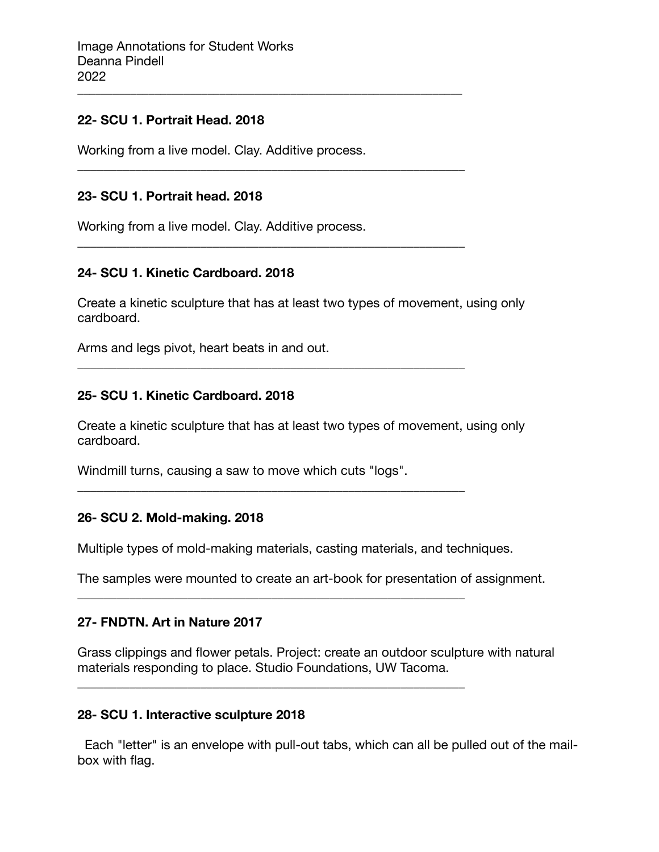#### **22- SCU 1. Portrait Head. 2018**

Working from a live model. Clay. Additive process.

\_\_\_\_\_\_\_\_\_\_\_\_\_\_\_\_\_\_\_\_\_\_\_\_\_\_\_\_\_\_\_\_\_\_\_\_\_\_\_\_\_\_\_\_\_\_\_\_\_\_\_\_\_\_\_\_\_\_\_\_\_\_\_\_\_

\_\_\_\_\_\_\_\_\_\_\_\_\_\_\_\_\_\_\_\_\_\_\_\_\_\_\_\_\_\_\_\_\_\_\_\_\_\_\_\_\_\_\_\_\_\_\_\_\_\_\_\_\_\_\_\_\_\_\_\_

\_\_\_\_\_\_\_\_\_\_\_\_\_\_\_\_\_\_\_\_\_\_\_\_\_\_\_\_\_\_\_\_\_\_\_\_\_\_\_\_\_\_\_\_\_\_\_\_\_\_\_\_\_\_\_\_\_\_\_\_

\_\_\_\_\_\_\_\_\_\_\_\_\_\_\_\_\_\_\_\_\_\_\_\_\_\_\_\_\_\_\_\_\_\_\_\_\_\_\_\_\_\_\_\_\_\_\_\_\_\_\_\_\_\_\_\_\_\_\_\_

\_\_\_\_\_\_\_\_\_\_\_\_\_\_\_\_\_\_\_\_\_\_\_\_\_\_\_\_\_\_\_\_\_\_\_\_\_\_\_\_\_\_\_\_\_\_\_\_\_\_\_\_\_\_\_\_\_\_\_\_

\_\_\_\_\_\_\_\_\_\_\_\_\_\_\_\_\_\_\_\_\_\_\_\_\_\_\_\_\_\_\_\_\_\_\_\_\_\_\_\_\_\_\_\_\_\_\_\_\_\_\_\_\_\_\_\_\_\_\_\_

\_\_\_\_\_\_\_\_\_\_\_\_\_\_\_\_\_\_\_\_\_\_\_\_\_\_\_\_\_\_\_\_\_\_\_\_\_\_\_\_\_\_\_\_\_\_\_\_\_\_\_\_\_\_\_\_\_\_\_\_

### **23- SCU 1. Portrait head. 2018**

Working from a live model. Clay. Additive process.

#### **24- SCU 1. Kinetic Cardboard. 2018**

Create a kinetic sculpture that has at least two types of movement, using only cardboard.

Arms and legs pivot, heart beats in and out.

#### **25- SCU 1. Kinetic Cardboard. 2018**

Create a kinetic sculpture that has at least two types of movement, using only cardboard.

Windmill turns, causing a saw to move which cuts "logs".

#### **26- SCU 2. Mold-making. 2018**

Multiple types of mold-making materials, casting materials, and techniques.

The samples were mounted to create an art-book for presentation of assignment.

#### **27- FNDTN. Art in Nature 2017**

Grass clippings and flower petals. Project: create an outdoor sculpture with natural materials responding to place. Studio Foundations, UW Tacoma.

#### **28- SCU 1. Interactive sculpture 2018**

 Each "letter" is an envelope with pull-out tabs, which can all be pulled out of the mailbox with flag.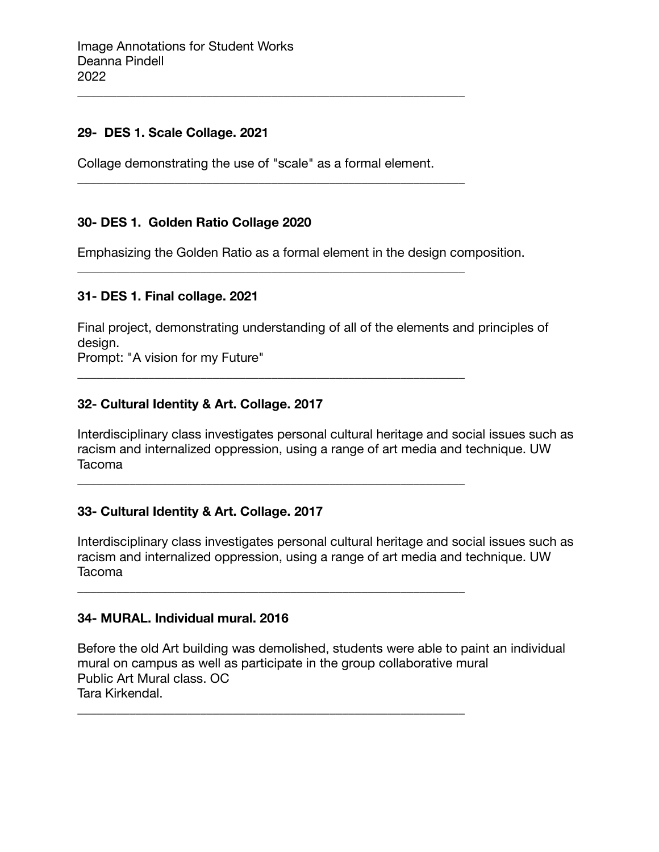### **29- DES 1. Scale Collage. 2021**

Collage demonstrating the use of "scale" as a formal element.

\_\_\_\_\_\_\_\_\_\_\_\_\_\_\_\_\_\_\_\_\_\_\_\_\_\_\_\_\_\_\_\_\_\_\_\_\_\_\_\_\_\_\_\_\_\_\_\_\_\_\_\_\_\_\_\_\_\_\_\_

\_\_\_\_\_\_\_\_\_\_\_\_\_\_\_\_\_\_\_\_\_\_\_\_\_\_\_\_\_\_\_\_\_\_\_\_\_\_\_\_\_\_\_\_\_\_\_\_\_\_\_\_\_\_\_\_\_\_\_\_

\_\_\_\_\_\_\_\_\_\_\_\_\_\_\_\_\_\_\_\_\_\_\_\_\_\_\_\_\_\_\_\_\_\_\_\_\_\_\_\_\_\_\_\_\_\_\_\_\_\_\_\_\_\_\_\_\_\_\_\_

\_\_\_\_\_\_\_\_\_\_\_\_\_\_\_\_\_\_\_\_\_\_\_\_\_\_\_\_\_\_\_\_\_\_\_\_\_\_\_\_\_\_\_\_\_\_\_\_\_\_\_\_\_\_\_\_\_\_\_\_

\_\_\_\_\_\_\_\_\_\_\_\_\_\_\_\_\_\_\_\_\_\_\_\_\_\_\_\_\_\_\_\_\_\_\_\_\_\_\_\_\_\_\_\_\_\_\_\_\_\_\_\_\_\_\_\_\_\_\_\_

\_\_\_\_\_\_\_\_\_\_\_\_\_\_\_\_\_\_\_\_\_\_\_\_\_\_\_\_\_\_\_\_\_\_\_\_\_\_\_\_\_\_\_\_\_\_\_\_\_\_\_\_\_\_\_\_\_\_\_\_

\_\_\_\_\_\_\_\_\_\_\_\_\_\_\_\_\_\_\_\_\_\_\_\_\_\_\_\_\_\_\_\_\_\_\_\_\_\_\_\_\_\_\_\_\_\_\_\_\_\_\_\_\_\_\_\_\_\_\_\_

#### **30- DES 1. Golden Ratio Collage 2020**

Emphasizing the Golden Ratio as a formal element in the design composition.

#### **31- DES 1. Final collage. 2021**

Final project, demonstrating understanding of all of the elements and principles of design.

Prompt: "A vision for my Future"

#### **32- Cultural Identity & Art. Collage. 2017**

Interdisciplinary class investigates personal cultural heritage and social issues such as racism and internalized oppression, using a range of art media and technique. UW Tacoma

#### **33- Cultural Identity & Art. Collage. 2017**

Interdisciplinary class investigates personal cultural heritage and social issues such as racism and internalized oppression, using a range of art media and technique. UW Tacoma

#### **34- MURAL. Individual mural. 2016**

Before the old Art building was demolished, students were able to paint an individual mural on campus as well as participate in the group collaborative mural Public Art Mural class. OC Tara Kirkendal.